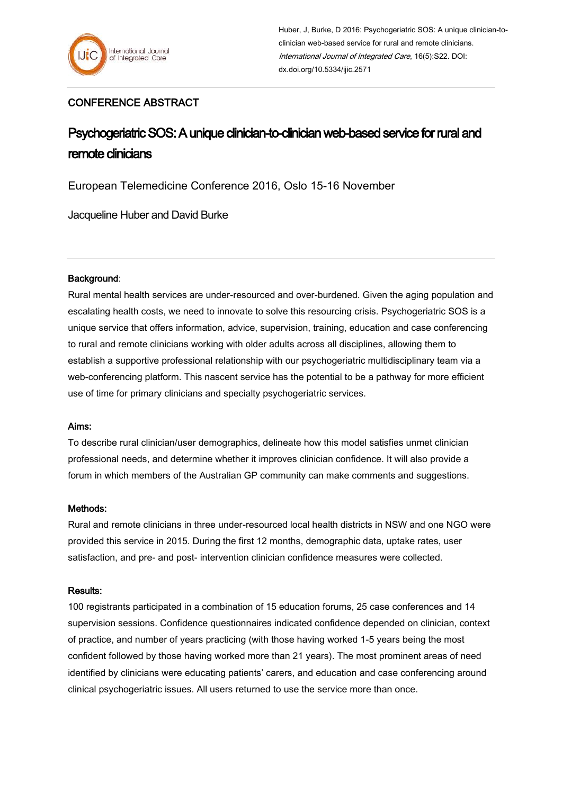### CONFERENCE ABSTRACT

# Psychogeriatric SOS: A unique clinician-to-clinician web-based service for rural and remote clinicians

European Telemedicine Conference 2016, Oslo 15-16 November

Jacqueline Huber and David Burke

#### Background:

Rural mental health services are under-resourced and over-burdened. Given the aging population and escalating health costs, we need to innovate to solve this resourcing crisis. Psychogeriatric SOS is a unique service that offers information, advice, supervision, training, education and case conferencing to rural and remote clinicians working with older adults across all disciplines, allowing them to establish a supportive professional relationship with our psychogeriatric multidisciplinary team via a web-conferencing platform. This nascent service has the potential to be a pathway for more efficient use of time for primary clinicians and specialty psychogeriatric services.

#### Aims:

To describe rural clinician/user demographics, delineate how this model satisfies unmet clinician professional needs, and determine whether it improves clinician confidence. It will also provide a forum in which members of the Australian GP community can make comments and suggestions.

#### Methods:

Rural and remote clinicians in three under-resourced local health districts in NSW and one NGO were provided this service in 2015. During the first 12 months, demographic data, uptake rates, user satisfaction, and pre- and post- intervention clinician confidence measures were collected.

#### Results:

100 registrants participated in a combination of 15 education forums, 25 case conferences and 14 supervision sessions. Confidence questionnaires indicated confidence depended on clinician, context of practice, and number of years practicing (with those having worked 1-5 years being the most confident followed by those having worked more than 21 years). The most prominent areas of need identified by clinicians were educating patients' carers, and education and case conferencing around clinical psychogeriatric issues. All users returned to use the service more than once.